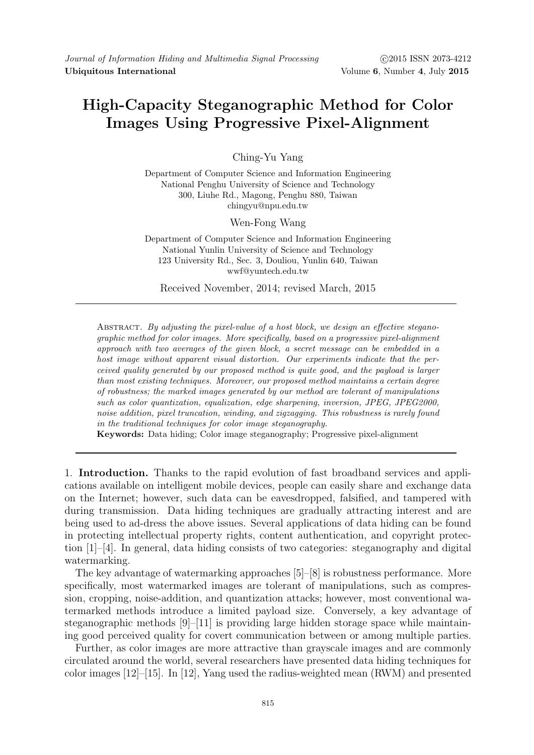## High-Capacity Steganographic Method for Color Images Using Progressive Pixel-Alignment

Ching-Yu Yang

Department of Computer Science and Information Engineering National Penghu University of Science and Technology 300, Liuhe Rd., Magong, Penghu 880, Taiwan chingyu@npu.edu.tw

Wen-Fong Wang

Department of Computer Science and Information Engineering National Yunlin University of Science and Technology 123 University Rd., Sec. 3, Douliou, Yunlin 640, Taiwan wwf@yuntech.edu.tw

Received November, 2014; revised March, 2015

ABSTRACT. By adjusting the pixel-value of a host block, we design an effective steganographic method for color images. More specifically, based on a progressive pixel-alignment approach with two averages of the given block, a secret message can be embedded in a host image without apparent visual distortion. Our experiments indicate that the perceived quality generated by our proposed method is quite good, and the payload is larger than most existing techniques. Moreover, our proposed method maintains a certain degree of robustness; the marked images generated by our method are tolerant of manipulations such as color quantization, equalization, edge sharpening, inversion, JPEG, JPEG2000, noise addition, pixel truncation, winding, and zigzagging. This robustness is rarely found in the traditional techniques for color image steganography.

Keywords: Data hiding; Color image steganography; Progressive pixel-alignment

1. Introduction. Thanks to the rapid evolution of fast broadband services and applications available on intelligent mobile devices, people can easily share and exchange data on the Internet; however, such data can be eavesdropped, falsified, and tampered with during transmission. Data hiding techniques are gradually attracting interest and are being used to ad-dress the above issues. Several applications of data hiding can be found in protecting intellectual property rights, content authentication, and copyright protection  $[1]$ –[4]. In general, data hiding consists of two categories: steganography and digital watermarking.

The key advantage of watermarking approaches [5]–[8] is robustness performance. More specifically, most watermarked images are tolerant of manipulations, such as compression, cropping, noise-addition, and quantization attacks; however, most conventional watermarked methods introduce a limited payload size. Conversely, a key advantage of steganographic methods  $[9]-[11]$  is providing large hidden storage space while maintaining good perceived quality for covert communication between or among multiple parties.

Further, as color images are more attractive than grayscale images and are commonly circulated around the world, several researchers have presented data hiding techniques for color images [12]–[15]. In [12], Yang used the radius-weighted mean (RWM) and presented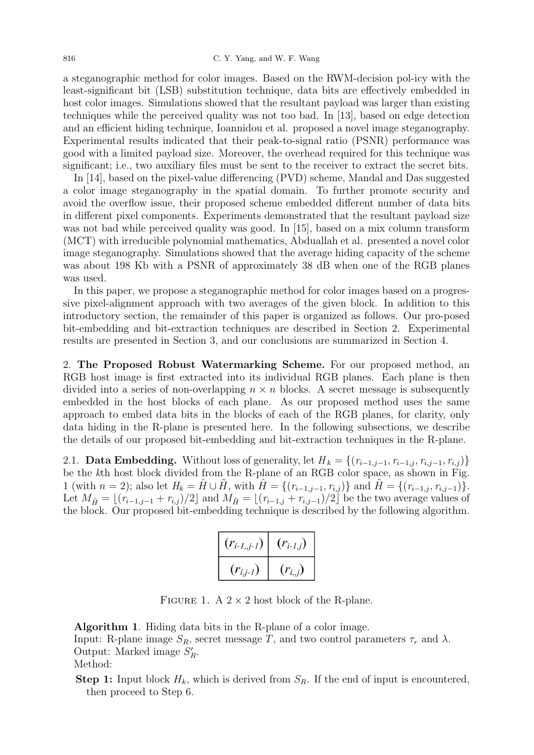a steganographic method for color images. Based on the RWM-decision pol-icy with the least-significant bit (LSB) substitution technique, data bits are effectively embedded in host color images. Simulations showed that the resultant payload was larger than existing techniques while the perceived quality was not too bad. In [13], based on edge detection and an efficient hiding technique, Ioannidou et al. proposed a novel image steganography. Experimental results indicated that their peak-to-signal ratio (PSNR) performance was good with a limited payload size. Moreover, the overhead required for this technique was significant; i.e., two auxiliary files must be sent to the receiver to extract the secret bits.

In [14], based on the pixel-value differencing (PVD) scheme, Mandal and Das suggested a color image steganography in the spatial domain. To further promote security and avoid the overflow issue, their proposed scheme embedded different number of data bits in different pixel components. Experiments demonstrated that the resultant payload size was not bad while perceived quality was good. In [15], based on a mix column transform (MCT) with irreducible polynomial mathematics, Abduallah et al. presented a novel color image steganography. Simulations showed that the average hiding capacity of the scheme was about 198 Kb with a PSNR of approximately 38 dB when one of the RGB planes was used.

In this paper, we propose a steganographic method for color images based on a progressive pixel-alignment approach with two averages of the given block. In addition to this introductory section, the remainder of this paper is organized as follows. Our pro-posed bit-embedding and bit-extraction techniques are described in Section 2. Experimental results are presented in Section 3, and our conclusions are summarized in Section 4.

2. The Proposed Robust Watermarking Scheme. For our proposed method, an RGB host image is first extracted into its individual RGB planes. Each plane is then divided into a series of non-overlapping  $n \times n$  blocks. A secret message is subsequently embedded in the host blocks of each plane. As our proposed method uses the same approach to embed data bits in the blocks of each of the RGB planes, for clarity, only data hiding in the R-plane is presented here. In the following subsections, we describe the details of our proposed bit-embedding and bit-extraction techniques in the R-plane.

2.1. **Data Embedding.** Without loss of generality, let  $H_k = \{(r_{i-1,j-1}, r_{i-1,j}, r_{i,j-1}, r_{i,j})\}$ be the kth host block divided from the R-plane of an RGB color space, as shown in Fig. 1 (with  $n = 2$ ); also let  $H_k = \hat{H} \cup \tilde{H}$ , with  $\hat{H} = \{(r_{i-1,j-1}, r_{i,j})\}$  and  $\tilde{H} = \{(r_{i-1,j}, r_{i,j-1})\}$ . Let  $M_{\hat{H}} = \lfloor (r_{i-1,j-1} + r_{i,j})/2 \rfloor$  and  $M_{\tilde{H}} = \lfloor (r_{i-1,j} + r_{i,j-1})/2 \rfloor$  be the two average values of the block. Our proposed bit-embedding technique is described by the following algorithm.

| $(r_{i-l,j-l})$ | $(r_{i-l,j})$ |
|-----------------|---------------|
| $(r_{i,j-1})$   | $(Y_{i,j})$   |

FIGURE 1. A  $2 \times 2$  host block of the R-plane.

Algorithm 1. Hiding data bits in the R-plane of a color image.

Input: R-plane image  $S_R$ , secret message T, and two control parameters  $\tau_r$  and  $\lambda$ . Output: Marked image  $S'_R$ .

Method:

**Step 1:** Input block  $H_k$ , which is derived from  $S_R$ . If the end of input is encountered, then proceed to Step 6.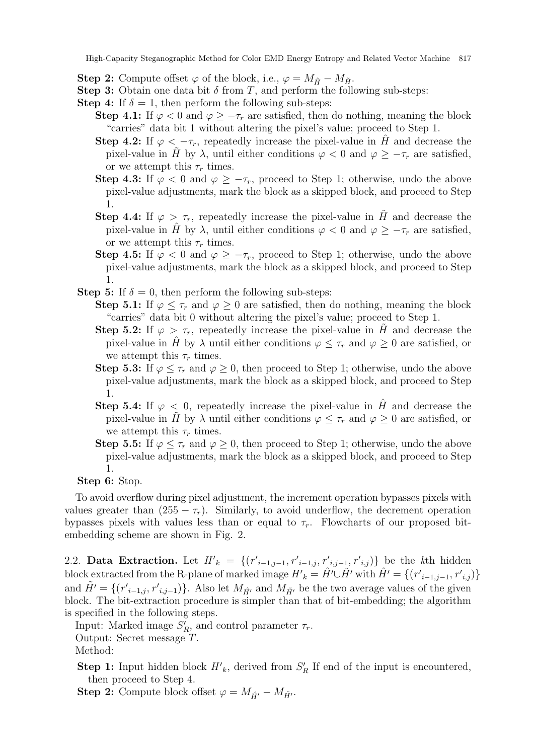- Step 2: Compute offset  $\varphi$  of the block, i.e.,  $\varphi = M_{\hat{H}} M_{\tilde{H}}$ .
- **Step 3:** Obtain one data bit  $\delta$  from T, and perform the following sub-steps:
- **Step 4:** If  $\delta = 1$ , then perform the following sub-steps:
	- Step 4.1: If  $\varphi < 0$  and  $\varphi \geq -\tau_r$  are satisfied, then do nothing, meaning the block "carries" data bit 1 without altering the pixel's value; proceed to Step 1.
	- Step 4.2: If  $\varphi < -\tau_r$ , repeatedly increase the pixel-value in H and decrease the pixel-value in H by  $\lambda$ , until either conditions  $\varphi < 0$  and  $\varphi \geq -\tau_r$  are satisfied, or we attempt this  $\tau_r$  times.
	- Step 4.3: If  $\varphi < 0$  and  $\varphi \geq -\tau_r$ , proceed to Step 1; otherwise, undo the above pixel-value adjustments, mark the block as a skipped block, and proceed to Step 1.
	- Step 4.4: If  $\varphi > \tau_r$ , repeatedly increase the pixel-value in H and decrease the pixel-value in H<sup></sup> by  $\lambda$ , until either conditions  $\varphi < 0$  and  $\varphi \geq -\tau_r$  are satisfied, or we attempt this  $\tau_r$  times.
	- Step 4.5: If  $\varphi < 0$  and  $\varphi \geq -\tau_r$ , proceed to Step 1; otherwise, undo the above pixel-value adjustments, mark the block as a skipped block, and proceed to Step 1.
- **Step 5:** If  $\delta = 0$ , then perform the following sub-steps:
	- **Step 5.1:** If  $\varphi \leq \tau_r$  and  $\varphi \geq 0$  are satisfied, then do nothing, meaning the block "carries" data bit 0 without altering the pixel's value; proceed to Step 1.
	- **Step 5.2:** If  $\varphi > \tau_r$ , repeatedly increase the pixel-value in H and decrease the pixel-value in H<sup></sup> by  $\lambda$  until either conditions  $\varphi \leq \tau_r$  and  $\varphi \geq 0$  are satisfied, or we attempt this  $\tau_r$  times.
	- Step 5.3: If  $\varphi \leq \tau_r$  and  $\varphi \geq 0$ , then proceed to Step 1; otherwise, undo the above pixel-value adjustments, mark the block as a skipped block, and proceed to Step 1.
	- Step 5.4: If  $\varphi$  < 0, repeatedly increase the pixel-value in H and decrease the pixel-value in  $\tilde{H}$  by  $\lambda$  until either conditions  $\varphi \leq \tau_r$  and  $\varphi \geq 0$  are satisfied, or we attempt this  $\tau_r$  times.
	- **Step 5.5:** If  $\varphi \leq \tau_r$  and  $\varphi \geq 0$ , then proceed to Step 1; otherwise, undo the above pixel-value adjustments, mark the block as a skipped block, and proceed to Step 1.

## Step 6: Stop.

To avoid overflow during pixel adjustment, the increment operation bypasses pixels with values greater than  $(255 - \tau_r)$ . Similarly, to avoid underflow, the decrement operation bypasses pixels with values less than or equal to  $\tau_r$ . Flowcharts of our proposed bitembedding scheme are shown in Fig. 2.

2.2. Data Extraction. Let  $H'_{k} = \{(r'_{i-1,j-1}, r'_{i-1,j}, r'_{i,j-1}, r'_{i,j})\}$  be the kth hidden block extracted from the R-plane of marked image  $H'_{k} = \hat{H'} \cup \tilde{H'}$  with  $\hat{H'} = \{(r'_{i-1,j-1}, r'_{i,j})\}$ and  $\tilde{H}' = \{(r'_{i-1,j}, r'_{i,j-1})\}$ . Also let  $M_{\hat{H}'}$  and  $M_{\tilde{H}'}$  be the two average values of the given block. The bit-extraction procedure is simpler than that of bit-embedding; the algorithm is specified in the following steps.

Input: Marked image  $S'_R$ , and control parameter  $\tau_r$ .

Output: Secret message T.

Method:

**Step 1:** Input hidden block  $H'_{k}$ , derived from  $S'_{R}$  If end of the input is encountered, then proceed to Step 4.

**Step 2:** Compute block offset  $\varphi = M_{\hat{H}'} - M_{\tilde{H}'}$ .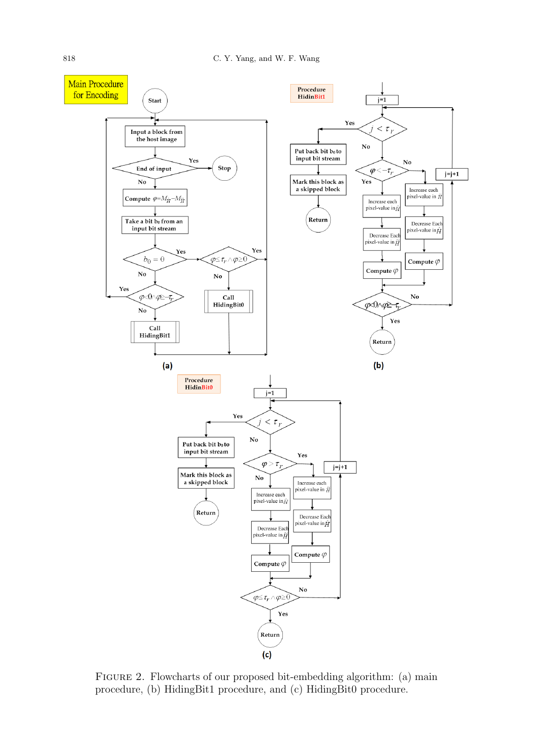

Figure 2. Flowcharts of our proposed bit-embedding algorithm: (a) main procedure, (b) HidingBit1 procedure, and (c) HidingBit0 procedure.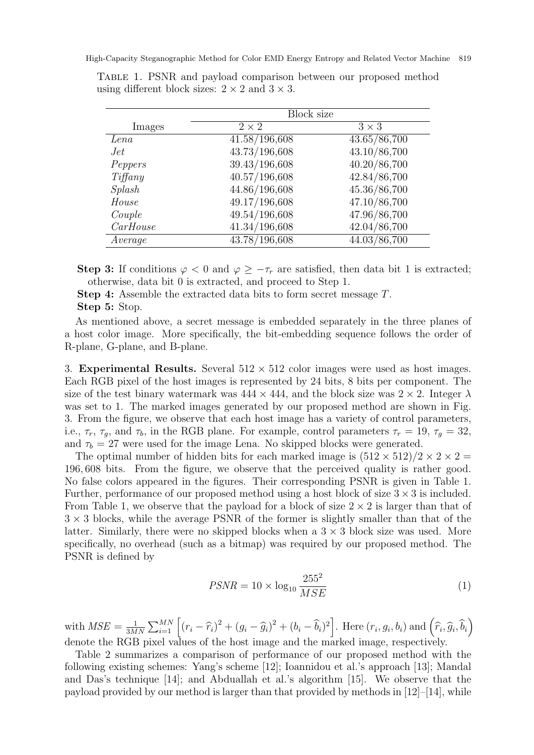|               | <b>Block size</b> |                           |
|---------------|-------------------|---------------------------|
| Images        | $2 \times 2$      | $3 \times 3$              |
| Lena          | 41.58/196,608     | 43.65/86,700              |
| Jet           | 43.73/196,608     | 43.10/86,700              |
| Peppers       | 39.43/196,608     | 40.20/86,700              |
| $Tif\$ {fany} | 40.57/196,608     | 42.84/86,700              |
| Splash        | 44.86/196,608     | 45.36/86,700              |
| House         | 49.17/196,608     | 47.10/86,700              |
| Couple        | 49.54/196,608     | 47.96/86,700              |
| CarHouse      | 41.34/196,608     | 42.04/86,700              |
| Average       | 43.78/196,608     | $\overline{44.03/86,700}$ |

Table 1. PSNR and payload comparison between our proposed method using different block sizes:  $2 \times 2$  and  $3 \times 3$ .

Step 3: If conditions  $\varphi < 0$  and  $\varphi \geq -\tau_r$  are satisfied, then data bit 1 is extracted; otherwise, data bit 0 is extracted, and proceed to Step 1.

Step 4: Assemble the extracted data bits to form secret message T. Step 5: Stop.

As mentioned above, a secret message is embedded separately in the three planes of a host color image. More specifically, the bit-embedding sequence follows the order of R-plane, G-plane, and B-plane.

3. Experimental Results. Several  $512 \times 512$  color images were used as host images. Each RGB pixel of the host images is represented by 24 bits, 8 bits per component. The size of the test binary watermark was  $444 \times 444$ , and the block size was  $2 \times 2$ . Integer  $\lambda$ was set to 1. The marked images generated by our proposed method are shown in Fig. 3. From the figure, we observe that each host image has a variety of control parameters, i.e.,  $\tau_r$ ,  $\tau_g$ , and  $\tau_b$ , in the RGB plane. For example, control parameters  $\tau_r = 19$ ,  $\tau_g = 32$ , and  $\tau_b = 27$  were used for the image Lena. No skipped blocks were generated.

The optimal number of hidden bits for each marked image is  $(512 \times 512)/2 \times 2 \times 2 =$ 196, 608 bits. From the figure, we observe that the perceived quality is rather good. No false colors appeared in the figures. Their corresponding PSNR is given in Table 1. Further, performance of our proposed method using a host block of size  $3 \times 3$  is included. From Table 1, we observe that the payload for a block of size  $2 \times 2$  is larger than that of  $3 \times 3$  blocks, while the average PSNR of the former is slightly smaller than that of the latter. Similarly, there were no skipped blocks when a  $3 \times 3$  block size was used. More specifically, no overhead (such as a bitmap) was required by our proposed method. The PSNR is defined by

$$
PSNR = 10 \times \log_{10} \frac{255^2}{MSE} \tag{1}
$$

with  $MSE = \frac{1}{3M}$  $\frac{1}{3MN}\sum_{i=1}^{MN} \left[ (r_i - \widehat{r}_i)^2 + (g_i - \widehat{g}_i)^2 + (b_i - \widehat{b}_i)^2 \right]$ . Here  $(r_i, g_i, b_i)$  and  $(\widehat{r}_i, \widehat{g}_i, \widehat{b}_i)$ denote the RGB pixel values of the host image and the marked image, respectively.

Table 2 summarizes a comparison of performance of our proposed method with the following existing schemes: Yang's scheme [12]; Ioannidou et al.'s approach [13]; Mandal and Das's technique [14]; and Abduallah et al.'s algorithm [15]. We observe that the payload provided by our method is larger than that provided by methods in  $[12]-[14]$ , while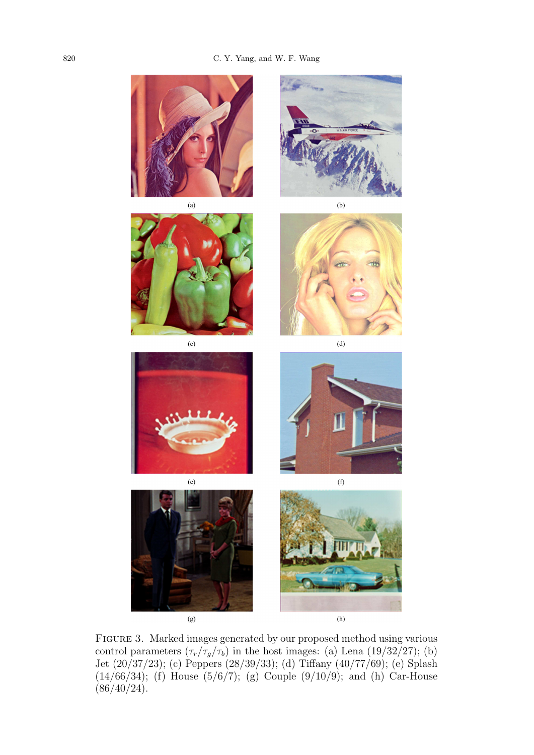

 $(g)$ 

 $(h)$ 

Figure 3. Marked images generated by our proposed method using various control parameters  $(\tau_r/\tau_g/\tau_b)$  in the host images: (a) Lena (19/32/27); (b) Jet (20/37/23); (c) Peppers (28/39/33); (d) Tiffany (40/77/69); (e) Splash (14/66/34); (f) House  $(5/6/7)$ ; (g) Couple  $(9/10/9)$ ; and (h) Car-House  $(86/40/24)$ .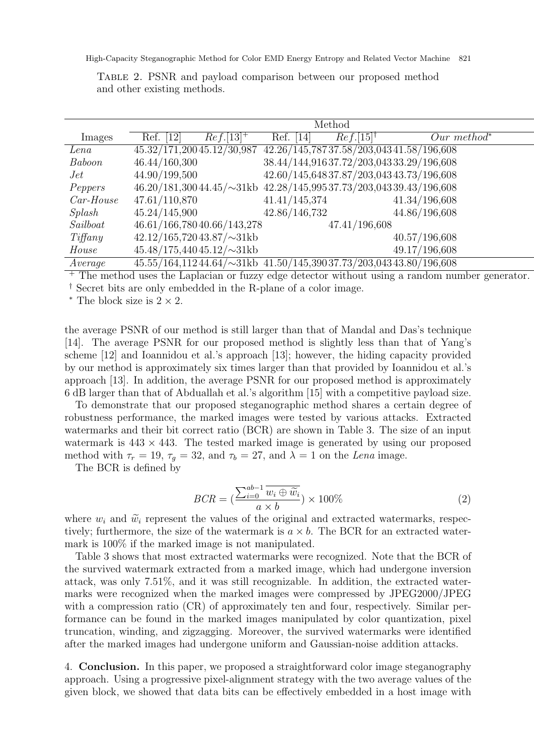|             |               |                               |               | Method                  |                                                                                  |
|-------------|---------------|-------------------------------|---------------|-------------------------|----------------------------------------------------------------------------------|
| Images      | Ref. [12]     | $Ref.\overline{[13]^+}$       | Ref. [14]     | $Ref.[15]$ <sup>†</sup> | $Our method*$                                                                    |
| Lena        |               | 45.32/171,20045.12/30,987     |               |                         | 42.26/145,78737.58/203,04341.58/196,608                                          |
| Baboon      | 46.44/160,300 |                               |               |                         | 38.44/144,91637.72/203,04333.29/196,608                                          |
| Jet         | 44.90/199,500 |                               |               |                         | 42.60/145,64837.87/203,04343.73/196,608                                          |
| Peppers     |               |                               |               |                         | $46.20/181,30044.45/\sim 31 \text{kb}$ $42.28/145,99537.73/203,04339.43/196,608$ |
| $Car-House$ | 47.61/110,870 |                               | 41.41/145,374 |                         | 41.34/196,608                                                                    |
| Splash      | 45.24/145,900 |                               | 42.86/146,732 |                         | 44.86/196,608                                                                    |
| Sailboat    |               | 46.61/166,78040.66/143,278    |               | 47.41/196,608           |                                                                                  |
| Tiff any    |               | $42.12/165,72043.87/\sim31kb$ |               |                         | 40.57/196,608                                                                    |
| House       |               | $45.48/175,44045.12/\sim31kb$ |               |                         | 49.17/196,608                                                                    |
| Average     |               |                               |               |                         | $45.55/164,11244.64/\sim 31 \text{kb}$ $41.50/145,39037.73/203,04343.80/196,608$ |

Table 2. PSNR and payload comparison between our proposed method and other existing methods.

<sup>+</sup> The method uses the Laplacian or fuzzy edge detector without using a random number generator.

† Secret bits are only embedded in the R-plane of a color image.

 $*$  The block size is  $2 \times 2$ .

the average PSNR of our method is still larger than that of Mandal and Das's technique [14]. The average PSNR for our proposed method is slightly less than that of Yang's scheme [12] and Ioannidou et al.'s approach [13]; however, the hiding capacity provided by our method is approximately six times larger than that provided by Ioannidou et al.'s approach [13]. In addition, the average PSNR for our proposed method is approximately 6 dB larger than that of Abduallah et al.'s algorithm [15] with a competitive payload size.

To demonstrate that our proposed steganographic method shares a certain degree of robustness performance, the marked images were tested by various attacks. Extracted watermarks and their bit correct ratio (BCR) are shown in Table 3. The size of an input watermark is  $443 \times 443$ . The tested marked image is generated by using our proposed method with  $\tau_r = 19$ ,  $\tau_q = 32$ , and  $\tau_b = 27$ , and  $\lambda = 1$  on the Lena image.

The BCR is defined by

$$
BCR = \left(\frac{\sum_{i=0}^{ab-1} \overline{w_i \oplus \widetilde{w_i}}}{a \times b}\right) \times 100\%
$$
\n(2)

where  $w_i$  and  $\widetilde{w}_i$  represent the values of the original and extracted watermarks, respectively; furthermore, the size of the watermark is  $a \times b$ . The BCR for an extracted watermark is 100% if the marked image is not manipulated.

Table 3 shows that most extracted watermarks were recognized. Note that the BCR of the survived watermark extracted from a marked image, which had undergone inversion attack, was only 7.51%, and it was still recognizable. In addition, the extracted watermarks were recognized when the marked images were compressed by JPEG2000/JPEG with a compression ratio (CR) of approximately ten and four, respectively. Similar performance can be found in the marked images manipulated by color quantization, pixel truncation, winding, and zigzagging. Moreover, the survived watermarks were identified after the marked images had undergone uniform and Gaussian-noise addition attacks.

4. Conclusion. In this paper, we proposed a straightforward color image steganography approach. Using a progressive pixel-alignment strategy with the two average values of the given block, we showed that data bits can be effectively embedded in a host image with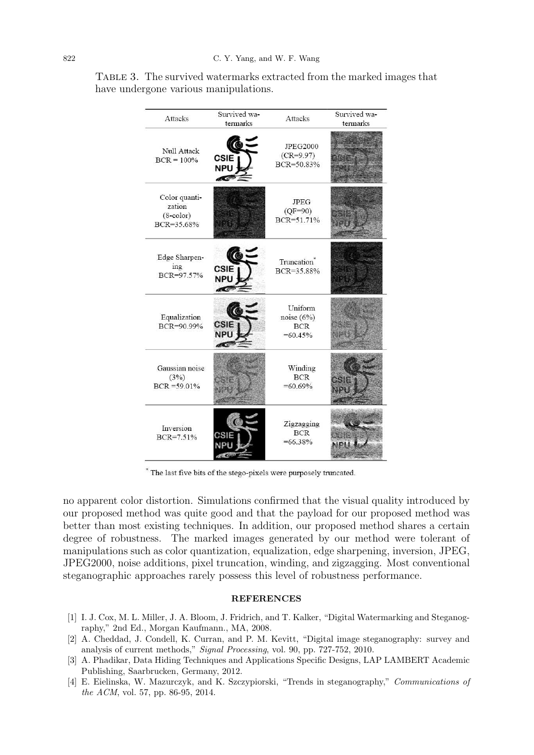| Attacks                                               | Survived wa-<br>termarks                | Attacks                                            | Survived wa-<br>termarks |
|-------------------------------------------------------|-----------------------------------------|----------------------------------------------------|--------------------------|
| Null Attack<br>$BCR = 100%$                           | <b>CSIE</b><br><b>NPU</b><br><b>ACC</b> | <b>JPEG2000</b><br>$(CR = 9.97)$<br>BCR=50.83%     |                          |
| Color quanti-<br>zation<br>$(8$ -color)<br>BCR=35.68% |                                         | <b>JPEG</b><br>$(QF=90)$<br>BCR=51.71%             |                          |
| Edge Sharpen-<br>ing<br>BCR=97.57%                    | <b>CSIE</b><br><b>NPU</b>               | Truncation <sup>®</sup><br>BCR=35.88%              |                          |
| Equalization<br>BCR=90.99%                            | <b>CSIE</b><br><b>NPU</b>               | Uniform<br>noise $(6%)$<br><b>BCR</b><br>$=60.45%$ |                          |
| Gaussian noise<br>(3%)<br>$BCR = 59.01\%$             |                                         | Winding<br><b>BCR</b><br>$=60.69\%$                |                          |
| Inversion<br>$BCR = 7.51%$                            | CSIE<br>NDI                             | Zigzagging<br><b>BCR</b><br>$=66.38\%$             |                          |

Table 3. The survived watermarks extracted from the marked images that have undergone various manipulations.

\* The last five bits of the stego-pixels were purposely truncated.

no apparent color distortion. Simulations confirmed that the visual quality introduced by our proposed method was quite good and that the payload for our proposed method was better than most existing techniques. In addition, our proposed method shares a certain degree of robustness. The marked images generated by our method were tolerant of manipulations such as color quantization, equalization, edge sharpening, inversion, JPEG, JPEG2000, noise additions, pixel truncation, winding, and zigzagging. Most conventional steganographic approaches rarely possess this level of robustness performance.

## REFERENCES

- [1] I. J. Cox, M. L. Miller, J. A. Bloom, J. Fridrich, and T. Kalker, "Digital Watermarking and Steganography," 2nd Ed., Morgan Kaufmann., MA, 2008.
- [2] A. Cheddad, J. Condell, K. Curran, and P. M. Kevitt, "Digital image steganography: survey and analysis of current methods," Signal Processing, vol. 90, pp. 727-752, 2010.
- [3] A. Phadikar, Data Hiding Techniques and Applications Specific Designs, LAP LAMBERT Academic Publishing, Saarbrucken, Germany, 2012.
- [4] E. Eielinska, W. Mazurczyk, and K. Szczypiorski, "Trends in steganography," Communications of the ACM, vol. 57, pp. 86-95, 2014.